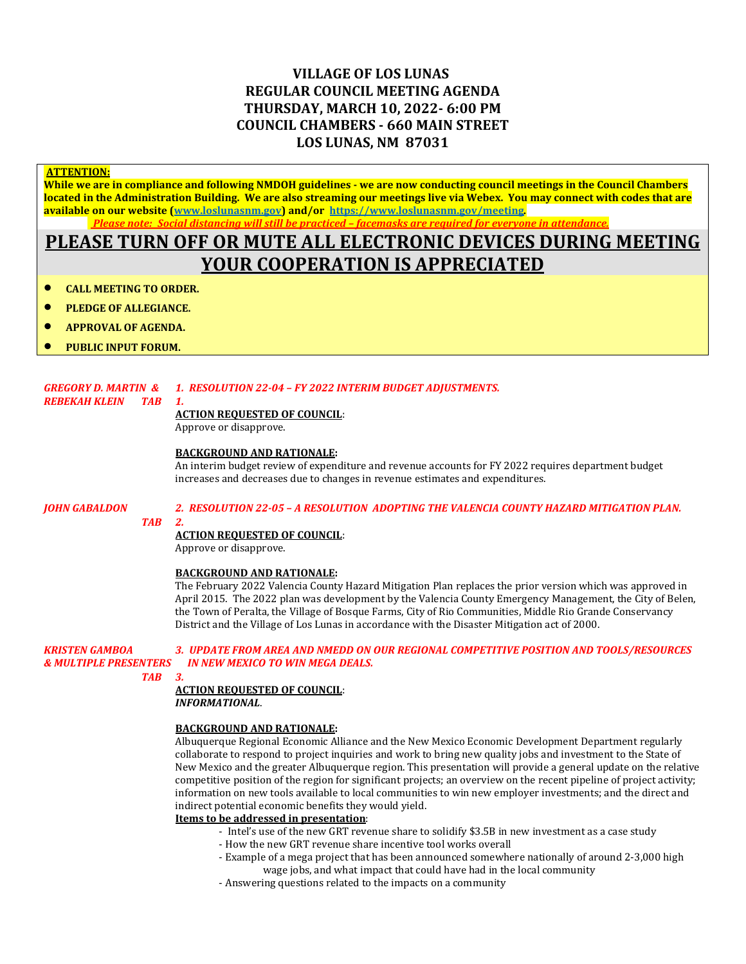## **VILLAGE OF LOS LUNAS REGULAR COUNCIL MEETING AGENDA THURSDAY, MARCH 10, 2022- 6:00 PM COUNCIL CHAMBERS - 660 MAIN STREET LOS LUNAS, NM 87031**

### **ATTENTION:**

**While we are in compliance and following NMDOH guidelines - we are now conducting council meetings in the Council Chambers located in the Administration Building. We are also streaming our meetings live via Webex. You may connect with codes that are available on our website [\(www.loslunasnm.gov\)](http://www.loslunasnm.gov/) and/or<https://www.loslunasnm.gov/meeting>***. Please note: Social distancing will still be practiced – facemasks are required for everyone in attendance.*

# **PLEASE TURN OFF OR MUTE ALL ELECTRONIC DEVICES DURING MEETING YOUR COOPERATION IS APPRECIATED**

- **CALL MEETING TO ORDER.**
- **PLEDGE OF ALLEGIANCE.**
- **APPROVAL OF AGENDA.**
- **PUBLIC INPUT FORUM.**

### *GREGORY D. MARTIN & 1. RESOLUTION 22-04 – FY 2022 INTERIM BUDGET ADJUSTMENTS.*

### *REBEKAH KLEIN TAB 1.*

### **ACTION REQUESTED OF COUNCIL**:

Approve or disapprove.

### **BACKGROUND AND RATIONALE:**

An interim budget review of expenditure and revenue accounts for FY 2022 requires department budget increases and decreases due to changes in revenue estimates and expenditures.

 *TAB 2.*

### *JOHN GABALDON 2. RESOLUTION 22-05 – A RESOLUTION ADOPTING THE VALENCIA COUNTY HAZARD MITIGATION PLAN.*

### **ACTION REQUESTED OF COUNCIL**:

Approve or disapprove.

### **BACKGROUND AND RATIONALE:**

The February 2022 Valencia County Hazard Mitigation Plan replaces the prior version which was approved in April 2015. The 2022 plan was development by the Valencia County Emergency Management, the City of Belen, the Town of Peralta, the Village of Bosque Farms, City of Rio Communities, Middle Rio Grande Conservancy District and the Village of Los Lunas in accordance with the Disaster Mitigation act of 2000.

### *KRISTEN GAMBOA 3. UPDATE FROM AREA AND NMEDD ON OUR REGIONAL COMPETITIVE POSITION AND TOOLS/RESOURCES IN NEW MEXICO TO WIN MEGA DEALS.*

 *TAB 3.*

### **ACTION REQUESTED OF COUNCIL**: *INFORMATIONAL*.

### **BACKGROUND AND RATIONALE:**

Albuquerque Regional Economic Alliance and the New Mexico Economic Development Department regularly collaborate to respond to project inquiries and work to bring new quality jobs and investment to the State of New Mexico and the greater Albuquerque region. This presentation will provide a general update on the relative competitive position of the region for significant projects; an overview on the recent pipeline of project activity; information on new tools available to local communities to win new employer investments; and the direct and indirect potential economic benefits they would yield.

### **Items to be addressed in presentation**:

- Intel's use of the new GRT revenue share to solidify \$3.5B in new investment as a case study
- How the new GRT revenue share incentive tool works overall
- Example of a mega project that has been announced somewhere nationally of around 2-3,000 high wage jobs, and what impact that could have had in the local community
- Answering questions related to the impacts on a community